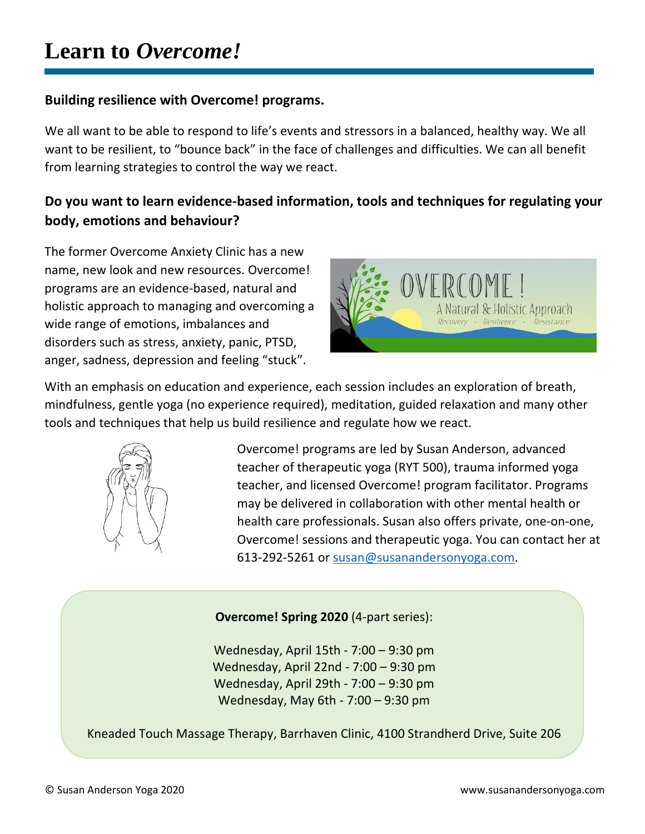## **Building resilience with Overcome! programs.**

We all want to be able to respond to life's events and stressors in a balanced, healthy way. We all want to be resilient, to "bounce back" in the face of challenges and difficulties. We can all benefit from learning strategies to control the way we react.

## **Do you want to learn evidence-based information, tools and techniques for regulating your body, emotions and behaviour?**

The former Overcome Anxiety Clinic has a new name, new look and new resources. Overcome! programs are an evidence-based, natural and holistic approach to managing and overcoming a wide range of emotions, imbalances and disorders such as stress, anxiety, panic, PTSD, anger, sadness, depression and feeling "stuck".



With an emphasis on education and experience, each session includes an exploration of breath, mindfulness, gentle yoga (no experience required), meditation, guided relaxation and many other tools and techniques that help us build resilience and regulate how we react.



Overcome! programs are led by Susan Anderson, advanced teacher of therapeutic yoga (RYT 500), trauma informed yoga teacher, and licensed Overcome! program facilitator. Programs may be delivered in collaboration with other mental health or health care professionals. Susan also offers private, one-on-one, Overcome! sessions and therapeutic yoga. You can contact her at 613-292-5261 or [susan@susanandersonyoga.com.](mailto:susan@susanandersonyoga.com)

## **Overcome! Spring 2020** (4-part series):

Wednesday, April 15th - 7:00 – 9:30 pm Wednesday, April 22nd - 7:00 – 9:30 pm Wednesday, April 29th - 7:00 – 9:30 pm Wednesday, May 6th - 7:00 – 9:30 pm

Kneaded Touch Massage Therapy, Barrhaven Clinic, 4100 Strandherd Drive, Suite 206